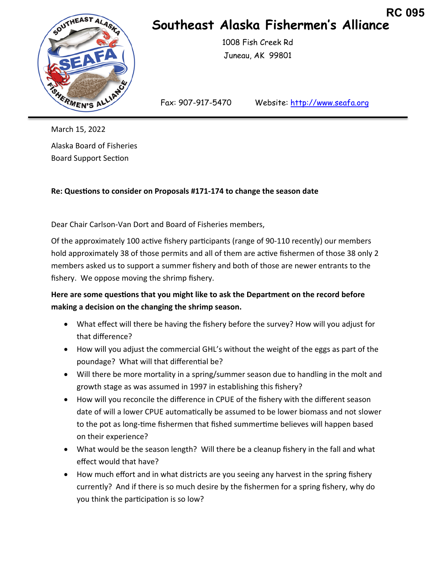

## **Southeast Alaska Fishermen's Alliance RC 095**

 1008 Fish Creek Rd Juneau, AK 99801

Fax: 907-917-5470 Website: http://www.seafa.org

March 15, 2022 Alaska Board of Fisheries Board Support Section

**Re: QuesƟons to consider on Proposals #171-174 to change the season date** 

Dear Chair Carlson-Van Dort and Board of Fisheries members,

Of the approximately 100 active fishery participants (range of 90-110 recently) our members hold approximately 38 of those permits and all of them are active fishermen of those 38 only 2 members asked us to support a summer fishery and both of those are newer entrants to the fishery. We oppose moving the shrimp fishery.

## Here are some questions that you might like to ask the Department on the record before **making a decision on the changing the shrimp season.**

- What effect will there be having the fishery before the survey? How will you adjust for that difference?
- How will you adjust the commercial GHL's without the weight of the eggs as part of the poundage? What will that differential be?
- Will there be more mortality in a spring/summer season due to handling in the molt and growth stage as was assumed in 1997 in establishing this fishery?
- How will you reconcile the difference in CPUE of the fishery with the different season date of will a lower CPUE automatically be assumed to be lower biomass and not slower to the pot as long-time fishermen that fished summertime believes will happen based on their experience?
- What would be the season length? Will there be a cleanup fishery in the fall and what effect would that have?
- How much effort and in what districts are you seeing any harvest in the spring fishery currently? And if there is so much desire by the fishermen for a spring fishery, why do you think the participation is so low?